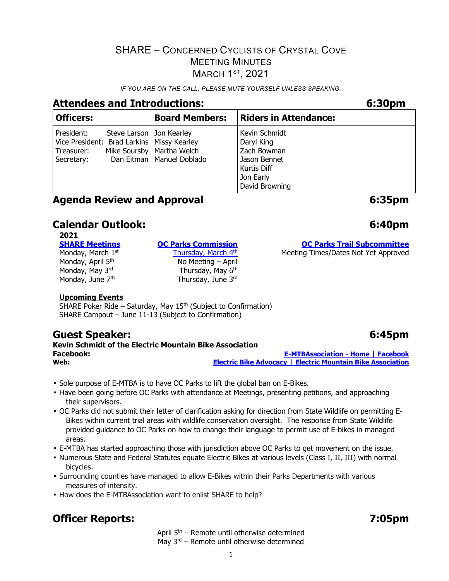*IF YOU ARE ON THE CALL, PLEASE MUTE YOURSELF UNLESS SPEAKING.* 

# **Attendees and Introductions: 6:30pm**

| <b>Officers:</b>                                                                       |                            | <b>Board Members:</b>                                      | <b>Riders in Attendance:</b>                                                                             |
|----------------------------------------------------------------------------------------|----------------------------|------------------------------------------------------------|----------------------------------------------------------------------------------------------------------|
| President:<br>Vice President: Brad Larkins   Missy Kearley<br>Treasurer:<br>Secretary: | Steve Larson   Jon Kearley | Mike Soursby   Martha Welch<br>Dan Eitman   Manuel Doblado | Kevin Schmidt<br>Daryl King<br>Zach Bowman<br>Jason Bennet<br>Kurtis Diff<br>Jon Early<br>David Browning |

## **Agenda Review and Approval** *b* **6:35pm**

# **Calendar Outlook: 6:40pm**

2021<br>**SHARE Meetings** 

Monday, March 1st

Monday, April 5<sup>th</sup>  $\mu$  No Meeting – April Monday, May 6<sup>th</sup> Monday, May 3<sup>rd</sup> and Thursday, May 6<sup>th</sup> Monday, June 7<sup>th</sup> and Thursday, June 3<sup>rd</sup>

#### **Upcoming Events**

SHARE Poker Ride – Saturday, May  $15<sup>th</sup>$  (Subject to Confirmation) SHARE Campout – June 11-13 (Subject to Confirmation)

# **Guest Speaker: 6:45pm**

**Kevin Schmidt of the Electric Mountain Bike Association Facebook: E-MTBAssociation - Home | Facebook Web: Electric Bike Advocacy | Electric Mountain Bike Association**

- Sole purpose of E-MTBA is to have OC Parks to lift the global ban on E-Bikes.
- Have been going before OC Parks with attendance at Meetings, presenting petitions, and approaching their supervisors.
- OC Parks did not submit their letter of clarification asking for direction from State Wildlife on permitting E-Bikes within current trial areas with wildlife conservation oversight. The response from State Wildlife provided guidance to OC Parks on how to change their language to permit use of E-bikes in managed areas.
- E-MTBA has started approaching those with jurisdiction above OC Parks to get movement on the issue.
- Numerous State and Federal Statutes equate Electric Bikes at various levels (Class I, II, III) with normal bicycles.
- Surrounding counties have managed to allow E-Bikes within their Parks Departments with various measures of intensity.
- How does the E-MTBAssociation want to enlist SHARE to help?

# **Officer Reports:** 7:05pm

April  $5<sup>th</sup>$  – Remote until otherwise determined May 3<sup>rd</sup> – Remote until otherwise determined

## **OC Parks Commission OC Parks Trail Subcommittee**

Thursday, March 4<sup>th</sup> Meeting Times/Dates Not Yet Approved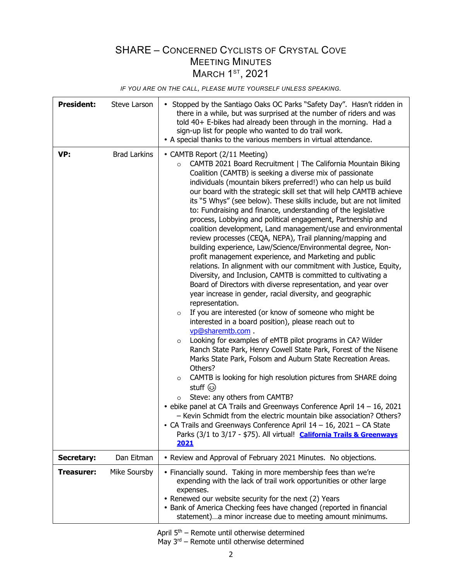*IF YOU ARE ON THE CALL, PLEASE MUTE YOURSELF UNLESS SPEAKING.* 

| <b>President:</b> | Steve Larson        | • Stopped by the Santiago Oaks OC Parks "Safety Day". Hasn't ridden in<br>there in a while, but was surprised at the number of riders and was<br>told 40+ E-bikes had already been through in the morning. Had a<br>sign-up list for people who wanted to do trail work.<br>• A special thanks to the various members in virtual attendance.                                                                                                                                                                                                                                                                                                                                                                                                                                                                                                                                                                                                                                                                                                                                                                                                                                                                                                                                                                                                                                                                                                                                                                                                                                                                                                                                                                                                                                                                                                                                                      |  |  |
|-------------------|---------------------|---------------------------------------------------------------------------------------------------------------------------------------------------------------------------------------------------------------------------------------------------------------------------------------------------------------------------------------------------------------------------------------------------------------------------------------------------------------------------------------------------------------------------------------------------------------------------------------------------------------------------------------------------------------------------------------------------------------------------------------------------------------------------------------------------------------------------------------------------------------------------------------------------------------------------------------------------------------------------------------------------------------------------------------------------------------------------------------------------------------------------------------------------------------------------------------------------------------------------------------------------------------------------------------------------------------------------------------------------------------------------------------------------------------------------------------------------------------------------------------------------------------------------------------------------------------------------------------------------------------------------------------------------------------------------------------------------------------------------------------------------------------------------------------------------------------------------------------------------------------------------------------------------|--|--|
| VP:               | <b>Brad Larkins</b> | • CAMTB Report (2/11 Meeting)<br>CAMTB 2021 Board Recruitment   The California Mountain Biking<br>$\circ$<br>Coalition (CAMTB) is seeking a diverse mix of passionate<br>individuals (mountain bikers preferred!) who can help us build<br>our board with the strategic skill set that will help CAMTB achieve<br>its "5 Whys" (see below). These skills include, but are not limited<br>to: Fundraising and finance, understanding of the legislative<br>process, Lobbying and political engagement, Partnership and<br>coalition development, Land management/use and environmental<br>review processes (CEQA, NEPA), Trail planning/mapping and<br>building experience, Law/Science/Environmental degree, Non-<br>profit management experience, and Marketing and public<br>relations. In alignment with our commitment with Justice, Equity,<br>Diversity, and Inclusion, CAMTB is committed to cultivating a<br>Board of Directors with diverse representation, and year over<br>year increase in gender, racial diversity, and geographic<br>representation.<br>If you are interested (or know of someone who might be<br>$\circ$<br>interested in a board position), please reach out to<br>vp@sharemtb.com.<br>Looking for examples of eMTB pilot programs in CA? Wilder<br>$\circ$<br>Ranch State Park, Henry Cowell State Park, Forest of the Nisene<br>Marks State Park, Folsom and Auburn State Recreation Areas.<br>Others?<br>CAMTB is looking for high resolution pictures from SHARE doing<br>$\circ$<br>stuff ۞<br>Steve: any others from CAMTB?<br>$\circ$<br>$\bullet$ ebike panel at CA Trails and Greenways Conference April 14 - 16, 2021<br>- Kevin Schmidt from the electric mountain bike association? Others?<br>CA Trails and Greenways Conference April $14 - 16$ , 2021 - CA State<br>Parks (3/1 to 3/17 - \$75). All virtual! California Trails & Greenways<br>2021 |  |  |
| <b>Secretary:</b> | Dan Eitman          | • Review and Approval of February 2021 Minutes. No objections.                                                                                                                                                                                                                                                                                                                                                                                                                                                                                                                                                                                                                                                                                                                                                                                                                                                                                                                                                                                                                                                                                                                                                                                                                                                                                                                                                                                                                                                                                                                                                                                                                                                                                                                                                                                                                                    |  |  |
| <b>Treasurer:</b> | Mike Soursby        | • Financially sound. Taking in more membership fees than we're<br>expending with the lack of trail work opportunities or other large<br>expenses.<br>• Renewed our website security for the next (2) Years<br>• Bank of America Checking fees have changed (reported in financial<br>statement)a minor increase due to meeting amount minimums.                                                                                                                                                                                                                                                                                                                                                                                                                                                                                                                                                                                                                                                                                                                                                                                                                                                                                                                                                                                                                                                                                                                                                                                                                                                                                                                                                                                                                                                                                                                                                   |  |  |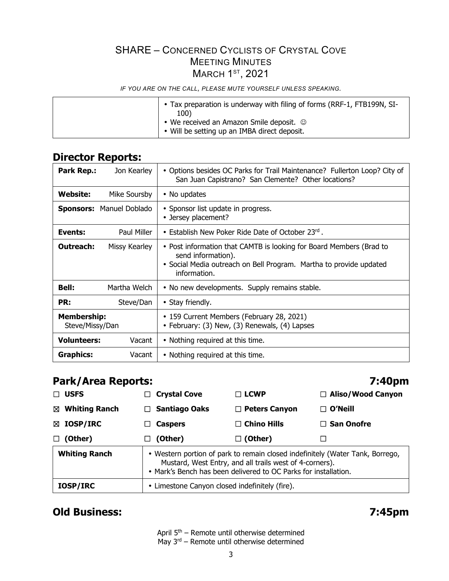*IF YOU ARE ON THE CALL, PLEASE MUTE YOURSELF UNLESS SPEAKING.* 

## **Director Reports:**

| <b>Park Rep.:</b><br>Jon Kearley      | • Options besides OC Parks for Trail Maintenance? Fullerton Loop? City of<br>San Juan Capistrano? San Clemente? Other locations?                                                |  |  |
|---------------------------------------|---------------------------------------------------------------------------------------------------------------------------------------------------------------------------------|--|--|
| Website:<br>Mike Soursby              | • No updates                                                                                                                                                                    |  |  |
| <b>Sponsors: Manuel Doblado</b>       | • Sponsor list update in progress.<br>• Jersey placement?                                                                                                                       |  |  |
| Paul Miller<br>Events:                | • Establish New Poker Ride Date of October 23rd.                                                                                                                                |  |  |
| Outreach:<br>Missy Kearley            | • Post information that CAMTB is looking for Board Members (Brad to<br>send information).<br>• Social Media outreach on Bell Program. Martha to provide updated<br>information. |  |  |
| <b>Bell:</b><br>Martha Welch          | • No new developments. Supply remains stable.                                                                                                                                   |  |  |
| PR:<br>Steve/Dan                      | • Stay friendly.                                                                                                                                                                |  |  |
| <b>Membership:</b><br>Steve/Missy/Dan | • 159 Current Members (February 28, 2021)<br>• February: (3) New, (3) Renewals, (4) Lapses                                                                                      |  |  |
| <b>Volunteers:</b><br>Vacant          | • Nothing required at this time.                                                                                                                                                |  |  |
| <b>Graphics:</b><br>Vacant            | • Nothing required at this time.                                                                                                                                                |  |  |

# **Park/Area Reports: 7:40pm**

| <b>USFS</b><br>П.                                                                                                                                                                                                                   | <b>Crystal Cove</b><br>$\Box$                  | $\Box$ LCWP          | □ Aliso/Wood Canyon |  |  |
|-------------------------------------------------------------------------------------------------------------------------------------------------------------------------------------------------------------------------------------|------------------------------------------------|----------------------|---------------------|--|--|
| <b>Whiting Ranch</b><br>⊠                                                                                                                                                                                                           | <b>Santiago Oaks</b><br>П.                     | $\Box$ Peters Canyon | $\sqcap$ O'Neill    |  |  |
| $\boxtimes$ IOSP/IRC                                                                                                                                                                                                                | <b>Caspers</b><br>ΙI                           | $\Box$ Chino Hills   | $\Box$ San Onofre   |  |  |
| (Other)<br>$\Box$                                                                                                                                                                                                                   | (Other)<br>ப                                   | $\Box$ (Other)       |                     |  |  |
| <b>Whiting Ranch</b><br>• Western portion of park to remain closed indefinitely (Water Tank, Borrego,<br>Mustard, West Entry, and all trails west of 4-corners).<br>• Mark's Bench has been delivered to OC Parks for installation. |                                                |                      |                     |  |  |
| <b>IOSP/IRC</b>                                                                                                                                                                                                                     | • Limestone Canyon closed indefinitely (fire). |                      |                     |  |  |

# **Old Business: 7:45pm**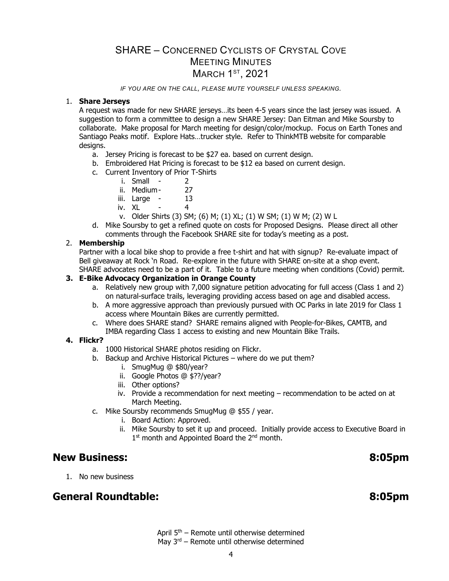*IF YOU ARE ON THE CALL, PLEASE MUTE YOURSELF UNLESS SPEAKING.* 

#### 1. **Share Jerseys**

A request was made for new SHARE jerseys…its been 4-5 years since the last jersey was issued. A suggestion to form a committee to design a new SHARE Jersey: Dan Eitman and Mike Soursby to collaborate. Make proposal for March meeting for design/color/mockup. Focus on Earth Tones and Santiago Peaks motif. Explore Hats…trucker style. Refer to ThinkMTB website for comparable designs.

- a. Jersey Pricing is forecast to be \$27 ea. based on current design.
- b. Embroidered Hat Pricing is forecast to be \$12 ea based on current design.
- c. Current Inventory of Prior T-Shirts
	- i. Small 2
	-
	- ii. Medium 27<br>iii. Large 13 iii. Large -
	- iv. XL 4
	- v. Older Shirts (3) SM; (6) M; (1) XL; (1) W SM; (1) W M; (2) W L
- d. Mike Soursby to get a refined quote on costs for Proposed Designs. Please direct all other comments through the Facebook SHARE site for today's meeting as a post.

#### 2. **Membership**

Partner with a local bike shop to provide a free t-shirt and hat with signup? Re-evaluate impact of Bell giveaway at Rock 'n Road. Re-explore in the future with SHARE on-site at a shop event. SHARE advocates need to be a part of it. Table to a future meeting when conditions (Covid) permit.

#### **3. E-Bike Advocacy Organization in Orange County**

- a. Relatively new group with 7,000 signature petition advocating for full access (Class 1 and 2) on natural-surface trails, leveraging providing access based on age and disabled access.
- b. A more aggressive approach than previously pursued with OC Parks in late 2019 for Class 1 access where Mountain Bikes are currently permitted.
- c. Where does SHARE stand? SHARE remains aligned with People-for-Bikes, CAMTB, and IMBA regarding Class 1 access to existing and new Mountain Bike Trails.

#### **4. Flickr?**

- a. 1000 Historical SHARE photos residing on Flickr.
- b. Backup and Archive Historical Pictures where do we put them?
	- i. SmugMug @ \$80/year?
	- ii. Google Photos @ \$??/year?
	- iii. Other options?
	- iv. Provide a recommendation for next meeting recommendation to be acted on at March Meeting.
- c. Mike Soursby recommends SmugMug @ \$55 / year.
	- i. Board Action: Approved.
	- ii. Mike Soursby to set it up and proceed. Initially provide access to Executive Board in 1<sup>st</sup> month and Appointed Board the 2<sup>nd</sup> month.

#### **New Business: 8:05pm**

1. No new business

#### **General Roundtable: 8:05pm**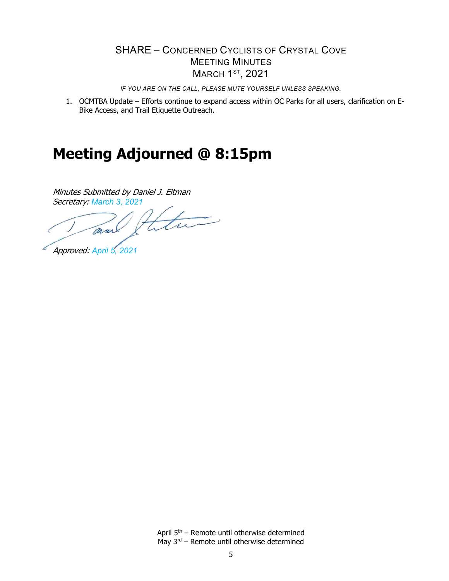*IF YOU ARE ON THE CALL, PLEASE MUTE YOURSELF UNLESS SPEAKING.* 

1. OCMTBA Update – Efforts continue to expand access within OC Parks for all users, clarification on E-Bike Access, and Trail Etiquette Outreach.

# **Meeting Adjourned @ 8:15pm**

Minutes Submitted by Daniel J. Eitman

Secretary: March 3, 2021<br> *must Hatter* and

Approved: *April 5, 2021*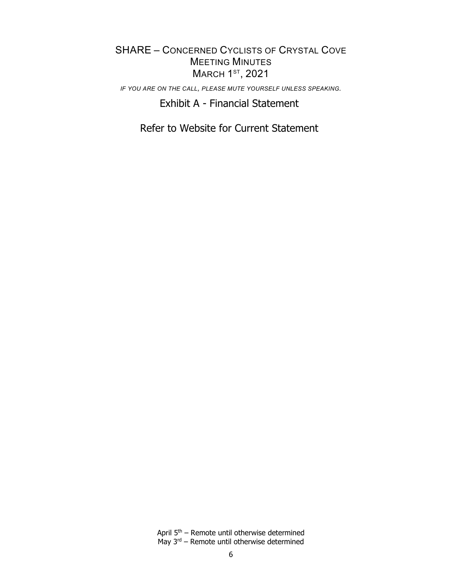*IF YOU ARE ON THE CALL, PLEASE MUTE YOURSELF UNLESS SPEAKING.* 

Exhibit A - Financial Statement

Refer to Website for Current Statement

April 5th – Remote until otherwise determined May  $3^{rd}$  – Remote until otherwise determined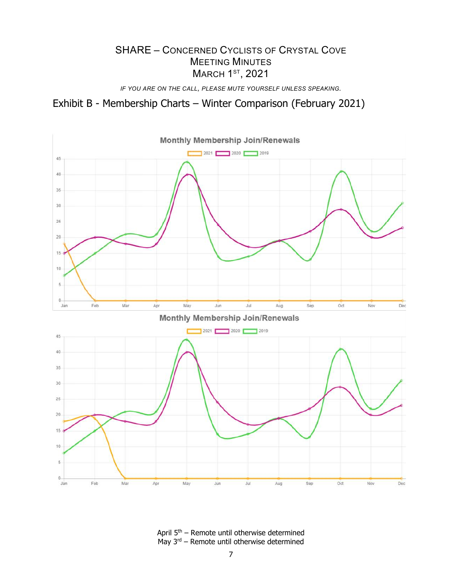*IF YOU ARE ON THE CALL, PLEASE MUTE YOURSELF UNLESS SPEAKING.* 

Exhibit B - Membership Charts – Winter Comparison (February 2021)



April 5th – Remote until otherwise determined May  $3^{rd}$  – Remote until otherwise determined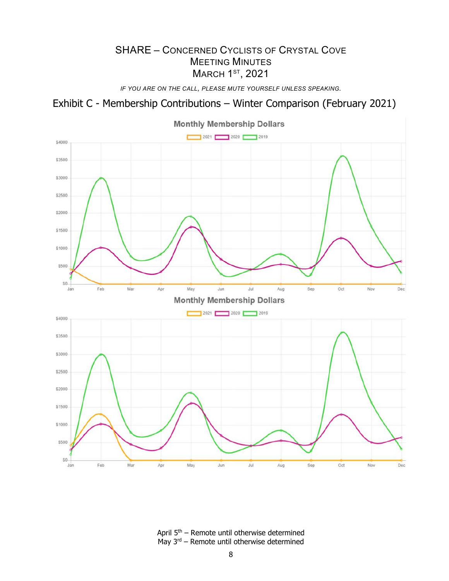*IF YOU ARE ON THE CALL, PLEASE MUTE YOURSELF UNLESS SPEAKING.* 

# Exhibit C - Membership Contributions – Winter Comparison (February 2021)



April 5th – Remote until otherwise determined May  $3^{rd}$  – Remote until otherwise determined